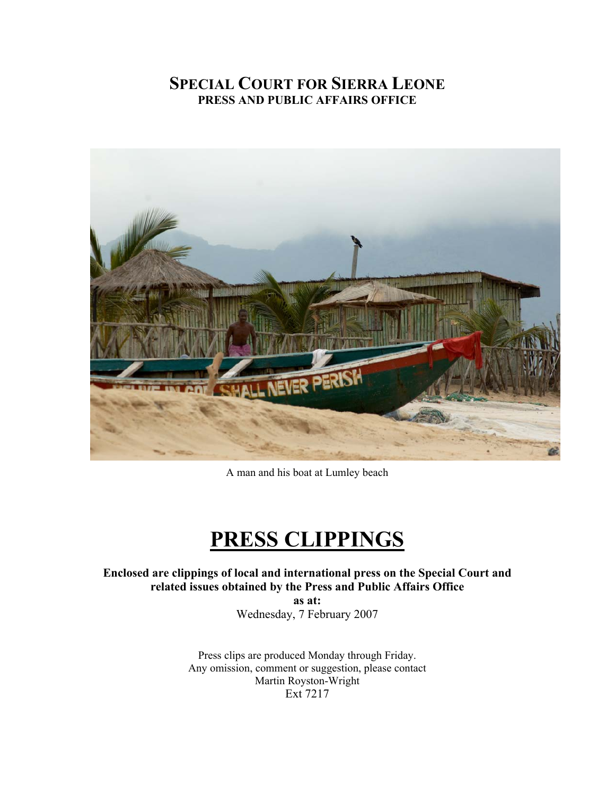# **SPECIAL COURT FOR SIERRA LEONE PRESS AND PUBLIC AFFAIRS OFFICE**



A man and his boat at Lumley beach

# **PRESS CLIPPINGS**

**Enclosed are clippings of local and international press on the Special Court and related issues obtained by the Press and Public Affairs Office** 

**as at:**  Wednesday, 7 February 2007

Press clips are produced Monday through Friday. Any omission, comment or suggestion, please contact Martin Royston-Wright Ext 7217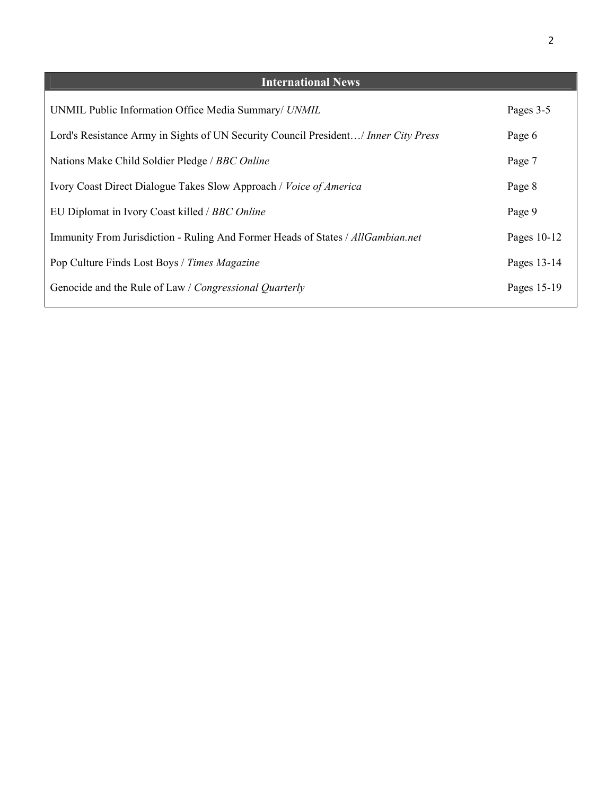| <b>International News</b>                                                           |             |
|-------------------------------------------------------------------------------------|-------------|
| UNMIL Public Information Office Media Summary/ UNMIL                                | Pages 3-5   |
| Lord's Resistance Army in Sights of UN Security Council President/ Inner City Press | Page 6      |
| Nations Make Child Soldier Pledge / BBC Online                                      | Page 7      |
| Ivory Coast Direct Dialogue Takes Slow Approach / Voice of America                  | Page 8      |
| EU Diplomat in Ivory Coast killed / BBC Online                                      | Page 9      |
| Immunity From Jurisdiction - Ruling And Former Heads of States / AllGambian.net     | Pages 10-12 |
| Pop Culture Finds Lost Boys / Times Magazine                                        | Pages 13-14 |
| Genocide and the Rule of Law / Congressional Quarterly                              | Pages 15-19 |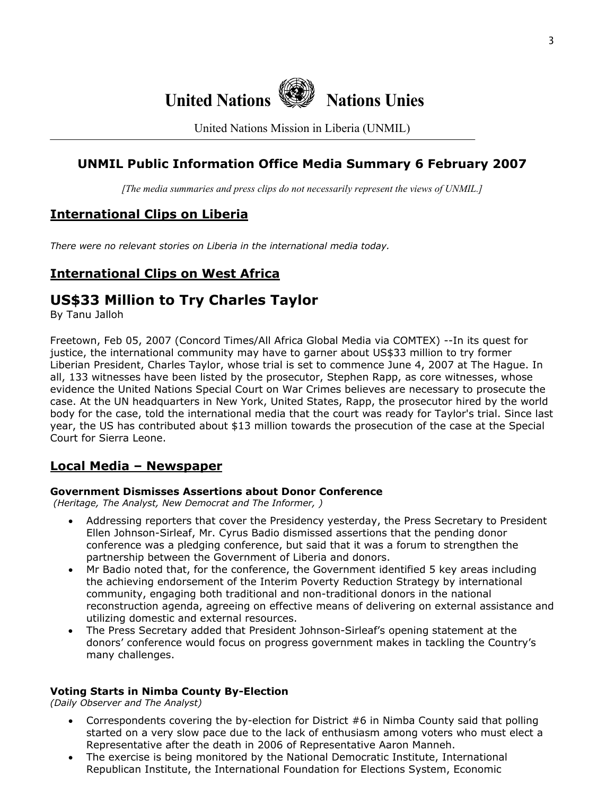

United Nations Mission in Liberia (UNMIL)

# **UNMIL Public Information Office Media Summary 6 February 2007**

*[The media summaries and press clips do not necessarily represent the views of UNMIL.]*

# **International Clips on Liberia**

*There were no relevant stories on Liberia in the international media today.*

# **International Clips on West Africa**

# **US\$33 Million to Try Charles Taylor**

By Tanu Jalloh

Freetown, Feb 05, 2007 (Concord Times/All Africa Global Media via COMTEX) --In its quest for justice, the international community may have to garner about US\$33 million to try former Liberian President, Charles Taylor, whose trial is set to commence June 4, 2007 at The Hague. In all, 133 witnesses have been listed by the prosecutor, Stephen Rapp, as core witnesses, whose evidence the United Nations Special Court on War Crimes believes are necessary to prosecute the case. At the UN headquarters in New York, United States, Rapp, the prosecutor hired by the world body for the case, told the international media that the court was ready for Taylor's trial. Since last year, the US has contributed about \$13 million towards the prosecution of the case at the Special Court for Sierra Leone.

### **Local Media – Newspaper**

### **Government Dismisses Assertions about Donor Conference**

 *(Heritage, The Analyst, New Democrat and The Informer, )* 

- Addressing reporters that cover the Presidency yesterday, the Press Secretary to President Ellen Johnson-Sirleaf, Mr. Cyrus Badio dismissed assertions that the pending donor conference was a pledging conference, but said that it was a forum to strengthen the partnership between the Government of Liberia and donors.
- Mr Badio noted that, for the conference, the Government identified 5 key areas including the achieving endorsement of the Interim Poverty Reduction Strategy by international community, engaging both traditional and non-traditional donors in the national reconstruction agenda, agreeing on effective means of delivering on external assistance and utilizing domestic and external resources.
- The Press Secretary added that President Johnson-Sirleaf's opening statement at the donors' conference would focus on progress government makes in tackling the Country's many challenges.

#### **Voting Starts in Nimba County By-Election**

*(Daily Observer and The Analyst)* 

- Correspondents covering the by-election for District #6 in Nimba County said that polling started on a very slow pace due to the lack of enthusiasm among voters who must elect a Representative after the death in 2006 of Representative Aaron Manneh.
- The exercise is being monitored by the National Democratic Institute, International Republican Institute, the International Foundation for Elections System, Economic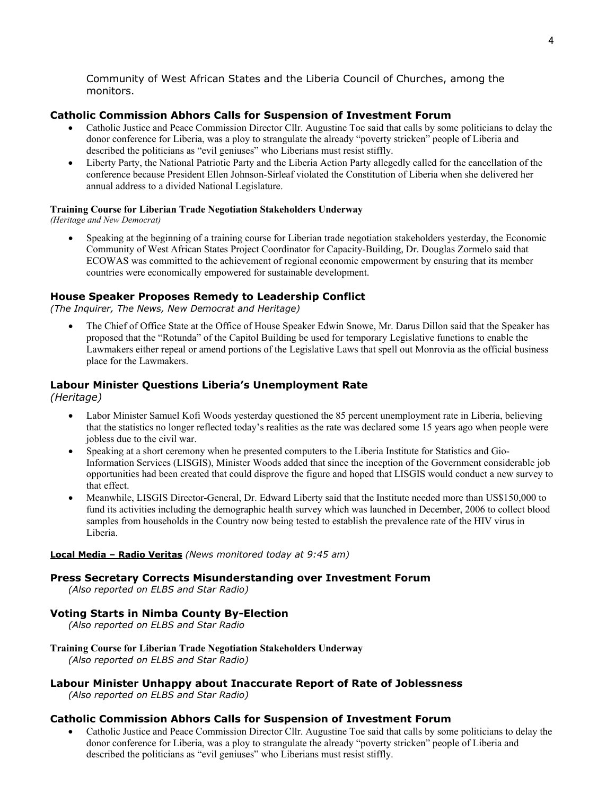Community of West African States and the Liberia Council of Churches, among the monitors.

#### **Catholic Commission Abhors Calls for Suspension of Investment Forum**

- Catholic Justice and Peace Commission Director Cllr. Augustine Toe said that calls by some politicians to delay the donor conference for Liberia, was a ploy to strangulate the already "poverty stricken" people of Liberia and described the politicians as "evil geniuses" who Liberians must resist stiffly.
- Liberty Party, the National Patriotic Party and the Liberia Action Party allegedly called for the cancellation of the conference because President Ellen Johnson-Sirleaf violated the Constitution of Liberia when she delivered her annual address to a divided National Legislature.

#### **Training Course for Liberian Trade Negotiation Stakeholders Underway**

*(Heritage and New Democrat)* 

• Speaking at the beginning of a training course for Liberian trade negotiation stakeholders yesterday, the Economic Community of West African States Project Coordinator for Capacity-Building, Dr. Douglas Zormelo said that ECOWAS was committed to the achievement of regional economic empowerment by ensuring that its member countries were economically empowered for sustainable development.

#### **House Speaker Proposes Remedy to Leadership Conflict**

*(The Inquirer, The News, New Democrat and Heritage)* 

• The Chief of Office State at the Office of House Speaker Edwin Snowe, Mr. Darus Dillon said that the Speaker has proposed that the "Rotunda" of the Capitol Building be used for temporary Legislative functions to enable the Lawmakers either repeal or amend portions of the Legislative Laws that spell out Monrovia as the official business place for the Lawmakers.

#### **Labour Minister Questions Liberia's Unemployment Rate**

*(Heritage)*

- Labor Minister Samuel Kofi Woods yesterday questioned the 85 percent unemployment rate in Liberia, believing that the statistics no longer reflected today's realities as the rate was declared some 15 years ago when people were jobless due to the civil war.
- Speaking at a short ceremony when he presented computers to the Liberia Institute for Statistics and Gio-Information Services (LISGIS), Minister Woods added that since the inception of the Government considerable job opportunities had been created that could disprove the figure and hoped that LISGIS would conduct a new survey to that effect.
- Meanwhile, LISGIS Director-General, Dr. Edward Liberty said that the Institute needed more than US\$150,000 to fund its activities including the demographic health survey which was launched in December, 2006 to collect blood samples from households in the Country now being tested to establish the prevalence rate of the HIV virus in Liberia.

#### **Local Media – Radio Veritas** *(News monitored today at 9:45 am)*

#### **Press Secretary Corrects Misunderstanding over Investment Forum**

*(Also reported on ELBS and Star Radio)*

#### **Voting Starts in Nimba County By-Election**

*(Also reported on ELBS and Star Radio*

**Training Course for Liberian Trade Negotiation Stakeholders Underway**  *(Also reported on ELBS and Star Radio)* 

#### **Labour Minister Unhappy about Inaccurate Report of Rate of Joblessness**

*(Also reported on ELBS and Star Radio)*

#### **Catholic Commission Abhors Calls for Suspension of Investment Forum**

• Catholic Justice and Peace Commission Director Cllr. Augustine Toe said that calls by some politicians to delay the donor conference for Liberia, was a ploy to strangulate the already "poverty stricken" people of Liberia and described the politicians as "evil geniuses" who Liberians must resist stiffly.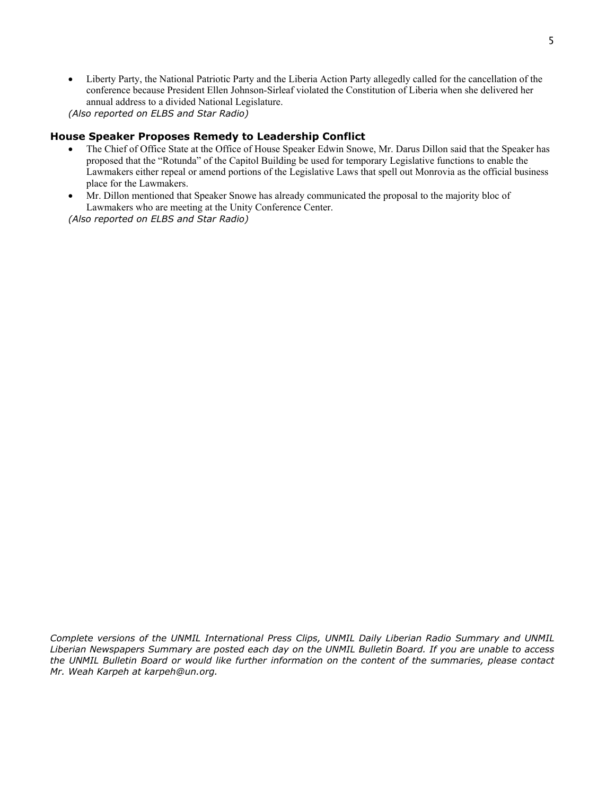• Liberty Party, the National Patriotic Party and the Liberia Action Party allegedly called for the cancellation of the conference because President Ellen Johnson-Sirleaf violated the Constitution of Liberia when she delivered her annual address to a divided National Legislature.

*(Also reported on ELBS and Star Radio)*

#### **House Speaker Proposes Remedy to Leadership Conflict**

- The Chief of Office State at the Office of House Speaker Edwin Snowe, Mr. Darus Dillon said that the Speaker has proposed that the "Rotunda" of the Capitol Building be used for temporary Legislative functions to enable the Lawmakers either repeal or amend portions of the Legislative Laws that spell out Monrovia as the official business place for the Lawmakers.
- Mr. Dillon mentioned that Speaker Snowe has already communicated the proposal to the majority bloc of Lawmakers who are meeting at the Unity Conference Center. *(Also reported on ELBS and Star Radio)*

*Complete versions of the UNMIL International Press Clips, UNMIL Daily Liberian Radio Summary and UNMIL Liberian Newspapers Summary are posted each day on the UNMIL Bulletin Board. If you are unable to access the UNMIL Bulletin Board or would like further information on the content of the summaries, please contact Mr. Weah Karpeh at karpeh@un.org.*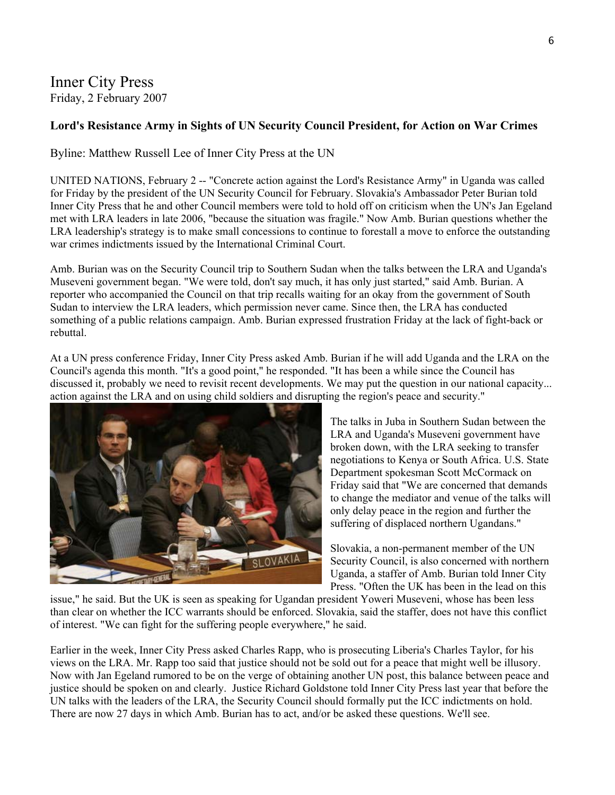# Inner City Press Friday, 2 February 2007

### **Lord's Resistance Army in Sights of UN Security Council President, for Action on War Crimes**

Byline: Matthew Russell Lee of Inner City Press at the UN

UNITED NATIONS, February 2 -- "Concrete action against the Lord's Resistance Army" in Uganda was called for Friday by the president of the UN Security Council for February. Slovakia's Ambassador Peter Burian told Inner City Press that he and other Council members were told to hold off on criticism when the UN's Jan Egeland met with LRA leaders in late 2006, "because the situation was fragile." Now Amb. Burian questions whether the LRA leadership's strategy is to make small concessions to continue to forestall a move to enforce the outstanding war crimes indictments issued by the International Criminal Court.

Amb. Burian was on the Security Council trip to Southern Sudan when the talks between the LRA and Uganda's Museveni government began. "We were told, don't say much, it has only just started," said Amb. Burian. A reporter who accompanied the Council on that trip recalls waiting for an okay from the government of South Sudan to interview the LRA leaders, which permission never came. Since then, the LRA has conducted something of a public relations campaign. Amb. Burian expressed frustration Friday at the lack of fight-back or rebuttal.

At a UN press conference Friday, Inner City Press asked Amb. Burian if he will add Uganda and the LRA on the Council's agenda this month. "It's a good point," he responded. "It has been a while since the Council has discussed it, probably we need to revisit recent developments. We may put the question in our national capacity... action against the LRA and on using child soldiers and disrupting the region's peace and security."



The talks in Juba in Southern Sudan between the LRA and Uganda's Museveni government have broken down, with the LRA seeking to transfer negotiations to Kenya or South Africa. U.S. State Department spokesman Scott McCormack on Friday said that "We are concerned that demands to change the mediator and venue of the talks will only delay peace in the region and further the suffering of displaced northern Ugandans."

Slovakia, a non-permanent member of the UN Security Council, is also concerned with northern Uganda, a staffer of Amb. Burian told Inner City Press. "Often the UK has been in the lead on this

issue," he said. But the UK is seen as speaking for Ugandan president Yoweri Museveni, whose has been less than clear on whether the ICC warrants should be enforced. Slovakia, said the staffer, does not have this conflict of interest. "We can fight for the suffering people everywhere," he said.

Earlier in the week, Inner City Press asked [Charles](http://www.innercitypress.com/unhq013007.html) Rapp, who is prosecuting Liberia's Charles Taylor, for his views on the LRA. Mr. Rapp too said that justice should not be sold out for a peace that might well be illusory. Now with Jan Egeland rumored to be on the verge of obtaining another UN post, this balance between peace and justice should be spoken on and clearly. [Justice Richard Goldstone told](http://www.innercitypress.com/goldstone101206.html) Inner City Press last year that before the UN talks with the leaders of the LRA, the Security Council should formally put the ICC indictments on hold. There are now 27 days in which Amb. Burian has to act, and/or be asked these questions. We'll see.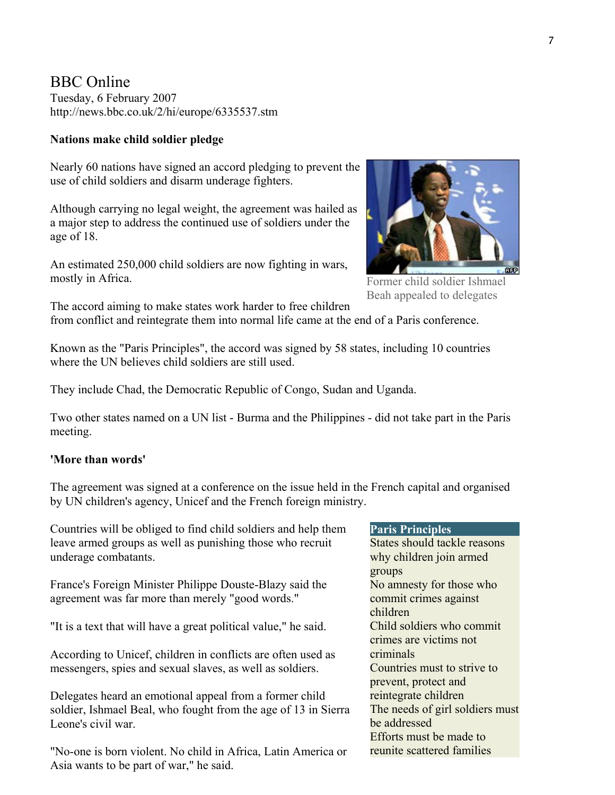# BBC Online

Tuesday, 6 February 2007 http://news.bbc.co.uk/2/hi/europe/6335537.stm

### **Nations make child soldier pledge**

Nearly 60 nations have signed an accord pledging to prevent the use of child soldiers and disarm underage fighters.

Although carrying no legal weight, the agreement was hailed as a major step to address the continued use of soldiers under the age of 18.

An estimated 250,000 child soldiers are now fighting in wars, mostly in Africa.



Former child soldier Ishmael Beah appealed to delegates

The accord aiming to make states work harder to free children from conflict and reintegrate them into normal life came at the end of a Paris conference.

Known as the "Paris Principles", the accord was signed by 58 states, including 10 countries where the UN believes child soldiers are still used.

They include Chad, the Democratic Republic of Congo, Sudan and Uganda.

Two other states named on a UN list - Burma and the Philippines - did not take part in the Paris meeting.

### **'More than words'**

The agreement was signed at a conference on the issue held in the French capital and organised by UN children's agency, Unicef and the French foreign ministry.

Countries will be obliged to find child soldiers and help them leave armed groups as well as punishing those who recruit underage combatants.

France's Foreign Minister Philippe Douste-Blazy said the agreement was far more than merely "good words."

"It is a text that will have a great political value," he said.

According to Unicef, children in conflicts are often used as messengers, spies and sexual slaves, as well as soldiers.

Delegates heard an emotional appeal from a former child soldier, Ishmael Beal, who fought from the age of 13 in Sierra Leone's civil war.

"No-one is born violent. No child in Africa, Latin America or Asia wants to be part of war," he said.

### **Paris Principles**

States should tackle reasons why children join armed groups No amnesty for those who commit crimes against children Child soldiers who commit crimes are victims not criminals Countries must to strive to prevent, protect and reintegrate children The needs of girl soldiers must be addressed Efforts must be made to reunite scattered families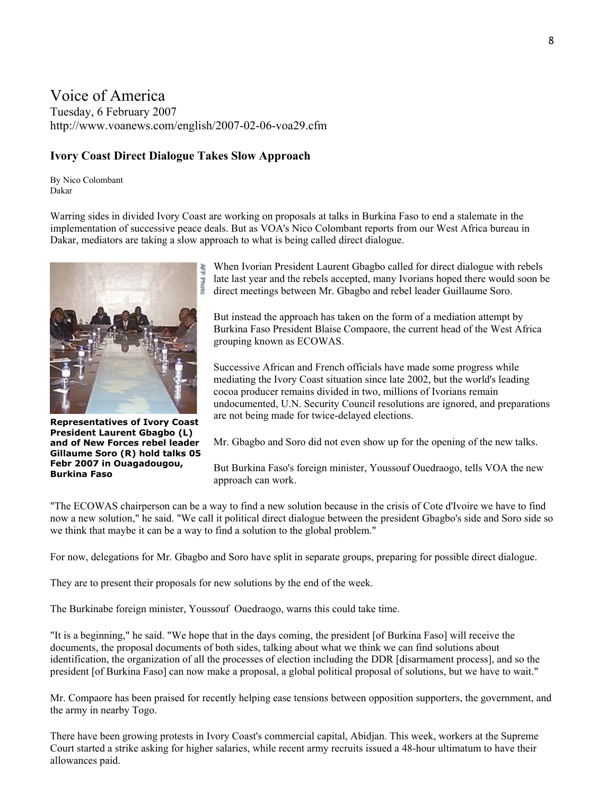# Voice of America

Tuesday, 6 February 2007 http://www.voanews.com/english/2007-02-06-voa29.cfm

### **Ivory Coast Direct Dialogue Takes Slow Approach**

By Nico Colombant Dakar

Warring sides in divided Ivory Coast are working on proposals at talks in Burkina Faso to end a stalemate in the implementation of successive peace deals. But as VOA's Nico Colombant reports from our West Africa bureau in Dakar, mediators are taking a slow approach to what is being called direct dialogue.



**Representatives of Ivory Coast President Laurent Gbagbo (L) and of New Forces rebel leader Gillaume Soro (R) hold talks 05 Febr 2007 in Ouagadougou, Burkina Faso**

When Ivorian President Laurent Gbagbo called for direct dialogue with rebels late last year and the rebels accepted, many Ivorians hoped there would soon be

direct meetings between Mr. Gbagbo and rebel leader Guillaume Soro.

But instead the approach has taken on the form of a mediation attempt by Burkina Faso President Blaise Compaore, the current head of the West Africa grouping known as ECOWAS.

Successive African and French officials have made some progress while mediating the Ivory Coast situation since late 2002, but the world's leading cocoa producer remains divided in two, millions of Ivorians remain undocumented, U.N. Security Council resolutions are ignored, and preparations are not being made for twice-delayed elections.

Mr. Gbagbo and Soro did not even show up for the opening of the new talks.

But Burkina Faso's foreign minister, Youssouf Ouedraogo, tells VOA the new approach can work.

"The ECOWAS chairperson can be a way to find a new solution because in the crisis of Cote d'Ivoire we have to find now a new solution," he said. "We call it political direct dialogue between the president Gbagbo's side and Soro side so we think that maybe it can be a way to find a solution to the global problem."

For now, delegations for Mr. Gbagbo and Soro have split in separate groups, preparing for possible direct dialogue.

They are to present their proposals for new solutions by the end of the week.

The Burkinabe foreign minister, Youssouf Ouedraogo, warns this could take time.

"It is a beginning," he said. "We hope that in the days coming, the president [of Burkina Faso] will receive the documents, the proposal documents of both sides, talking about what we think we can find solutions about identification, the organization of all the processes of election including the DDR [disarmament process], and so the president [of Burkina Faso] can now make a proposal, a global political proposal of solutions, but we have to wait."

Mr. Compaore has been praised for recently helping ease tensions between opposition supporters, the government, and the army in nearby Togo.

There have been growing protests in Ivory Coast's commercial capital, Abidjan. This week, workers at the Supreme Court started a strike asking for higher salaries, while recent army recruits issued a 48-hour ultimatum to have their allowances paid.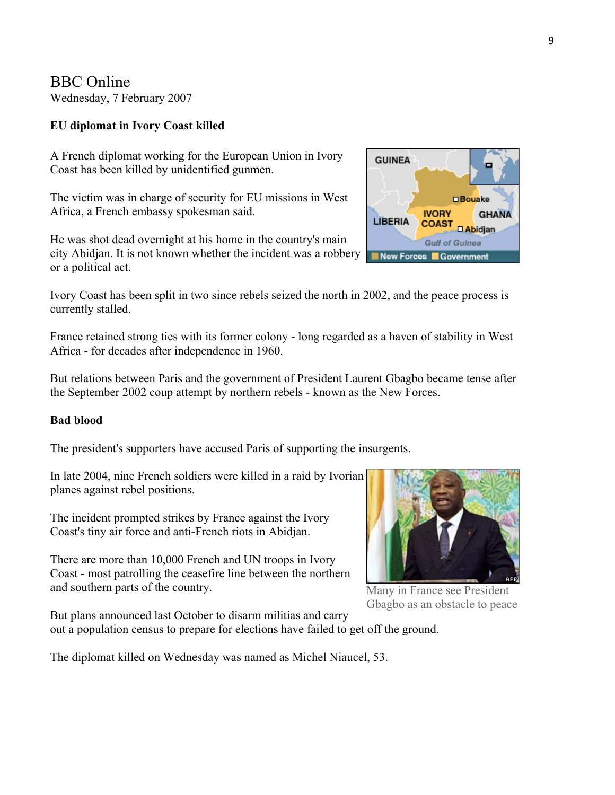# BBC Online

Wednesday, 7 February 2007

## **EU diplomat in Ivory Coast killed**

A French diplomat working for the European Union in Ivory Coast has been killed by unidentified gunmen.

The victim was in charge of security for EU missions in West Africa, a French embassy spokesman said.

He was shot dead overnight at his home in the country's main city Abidjan. It is not known whether the incident was a robbery or a political act.

Ivory Coast has been split in two since rebels seized the north in 2002, and the peace process is currently stalled.

France retained strong ties with its former colony - long regarded as a haven of stability in West Africa - for decades after independence in 1960.

But relations between Paris and the government of President Laurent Gbagbo became tense after the September 2002 coup attempt by northern rebels - known as the New Forces.

### **Bad blood**

The president's supporters have accused Paris of supporting the insurgents.

In late 2004, nine French soldiers were killed in a raid by Ivorian planes against rebel positions.

The incident prompted strikes by France against the Ivory Coast's tiny air force and anti-French riots in Abidjan.

There are more than 10,000 French and UN troops in Ivory Coast - most patrolling the ceasefire line between the northern and southern parts of the country.

Many in France see President Gbagbo as an obstacle to peace

But plans announced last October to disarm militias and carry out a population census to prepare for elections have failed to get off the ground.

The diplomat killed on Wednesday was named as Michel Niaucel, 53.

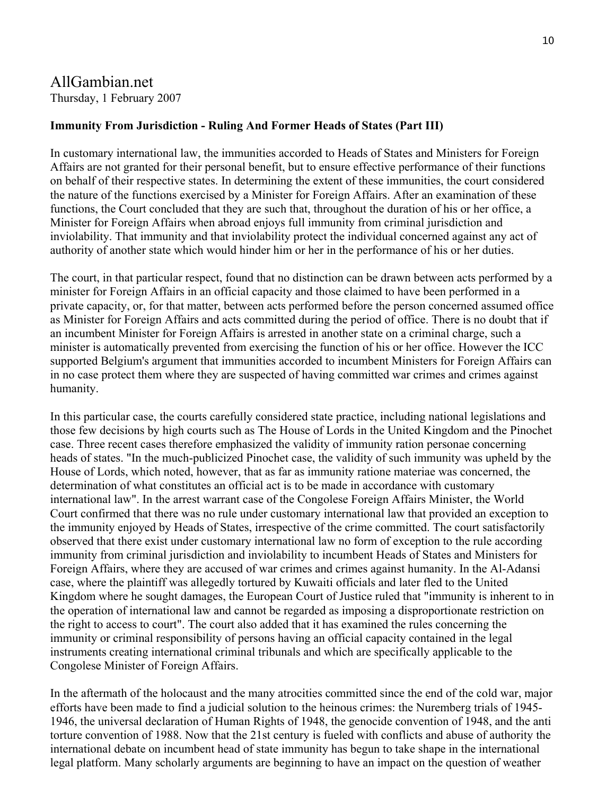# AllGambian.net

Thursday, 1 February 2007

### **Immunity From Jurisdiction - Ruling And Former Heads of States (Part III)**

In customary international law, the immunities accorded to Heads of States and Ministers for Foreign Affairs are not granted for their personal benefit, but to ensure effective performance of their functions on behalf of their respective states. In determining the extent of these immunities, the court considered the nature of the functions exercised by a Minister for Foreign Affairs. After an examination of these functions, the Court concluded that they are such that, throughout the duration of his or her office, a Minister for Foreign Affairs when abroad enjoys full immunity from criminal jurisdiction and inviolability. That immunity and that inviolability protect the individual concerned against any act of authority of another state which would hinder him or her in the performance of his or her duties.

The court, in that particular respect, found that no distinction can be drawn between acts performed by a minister for Foreign Affairs in an official capacity and those claimed to have been performed in a private capacity, or, for that matter, between acts performed before the person concerned assumed office as Minister for Foreign Affairs and acts committed during the period of office. There is no doubt that if an incumbent Minister for Foreign Affairs is arrested in another state on a criminal charge, such a minister is automatically prevented from exercising the function of his or her office. However the ICC supported Belgium's argument that immunities accorded to incumbent Ministers for Foreign Affairs can in no case protect them where they are suspected of having committed war crimes and crimes against humanity.

In this particular case, the courts carefully considered state practice, including national legislations and those few decisions by high courts such as The House of Lords in the United Kingdom and the Pinochet case. Three recent cases therefore emphasized the validity of immunity ration personae concerning heads of states. "In the much-publicized Pinochet case, the validity of such immunity was upheld by the House of Lords, which noted, however, that as far as immunity ratione materiae was concerned, the determination of what constitutes an official act is to be made in accordance with customary international law". In the arrest warrant case of the Congolese Foreign Affairs Minister, the World Court confirmed that there was no rule under customary international law that provided an exception to the immunity enjoyed by Heads of States, irrespective of the crime committed. The court satisfactorily observed that there exist under customary international law no form of exception to the rule according immunity from criminal jurisdiction and inviolability to incumbent Heads of States and Ministers for Foreign Affairs, where they are accused of war crimes and crimes against humanity. In the Al-Adansi case, where the plaintiff was allegedly tortured by Kuwaiti officials and later fled to the United Kingdom where he sought damages, the European Court of Justice ruled that "immunity is inherent to in the operation of international law and cannot be regarded as imposing a disproportionate restriction on the right to access to court". The court also added that it has examined the rules concerning the immunity or criminal responsibility of persons having an official capacity contained in the legal instruments creating international criminal tribunals and which are specifically applicable to the Congolese Minister of Foreign Affairs.

In the aftermath of the holocaust and the many atrocities committed since the end of the cold war, major efforts have been made to find a judicial solution to the heinous crimes: the Nuremberg trials of 1945- 1946, the universal declaration of Human Rights of 1948, the genocide convention of 1948, and the anti torture convention of 1988. Now that the 21st century is fueled with conflicts and abuse of authority the international debate on incumbent head of state immunity has begun to take shape in the international legal platform. Many scholarly arguments are beginning to have an impact on the question of weather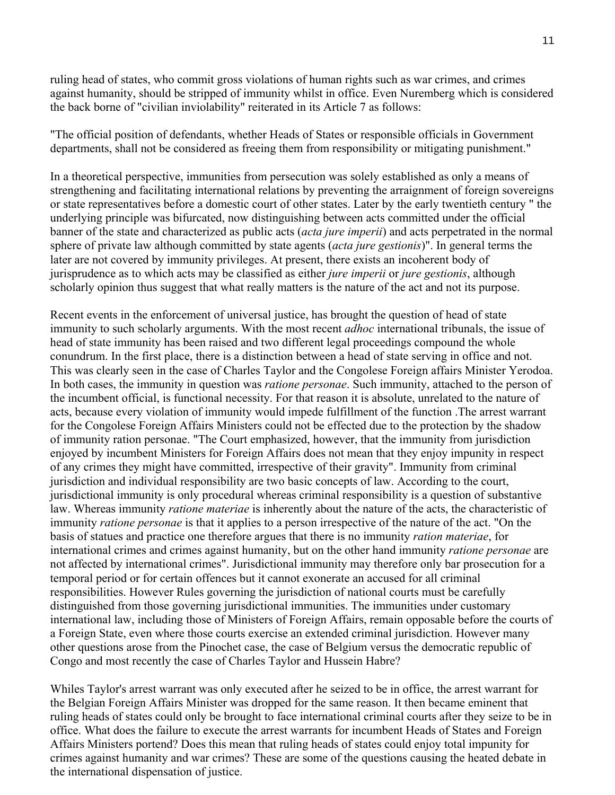ruling head of states, who commit gross violations of human rights such as war crimes, and crimes against humanity, should be stripped of immunity whilst in office. Even Nuremberg which is considered the back borne of "civilian inviolability" reiterated in its Article 7 as follows:

"The official position of defendants, whether Heads of States or responsible officials in Government departments, shall not be considered as freeing them from responsibility or mitigating punishment."

In a theoretical perspective, immunities from persecution was solely established as only a means of strengthening and facilitating international relations by preventing the arraignment of foreign sovereigns or state representatives before a domestic court of other states. Later by the early twentieth century " the underlying principle was bifurcated, now distinguishing between acts committed under the official banner of the state and characterized as public acts (*acta jure imperii*) and acts perpetrated in the normal sphere of private law although committed by state agents (*acta jure gestionis*)". In general terms the later are not covered by immunity privileges. At present, there exists an incoherent body of jurisprudence as to which acts may be classified as either *jure imperii* or *jure gestionis*, although scholarly opinion thus suggest that what really matters is the nature of the act and not its purpose.

Recent events in the enforcement of universal justice, has brought the question of head of state immunity to such scholarly arguments. With the most recent *adhoc* international tribunals, the issue of head of state immunity has been raised and two different legal proceedings compound the whole conundrum. In the first place, there is a distinction between a head of state serving in office and not. This was clearly seen in the case of Charles Taylor and the Congolese Foreign affairs Minister Yerodoa. In both cases, the immunity in question was *ratione personae*. Such immunity, attached to the person of the incumbent official, is functional necessity. For that reason it is absolute, unrelated to the nature of acts, because every violation of immunity would impede fulfillment of the function .The arrest warrant for the Congolese Foreign Affairs Ministers could not be effected due to the protection by the shadow of immunity ration personae. "The Court emphasized, however, that the immunity from jurisdiction enjoyed by incumbent Ministers for Foreign Affairs does not mean that they enjoy impunity in respect of any crimes they might have committed, irrespective of their gravity". Immunity from criminal jurisdiction and individual responsibility are two basic concepts of law. According to the court, jurisdictional immunity is only procedural whereas criminal responsibility is a question of substantive law. Whereas immunity *ratione materiae* is inherently about the nature of the acts, the characteristic of immunity *ratione personae* is that it applies to a person irrespective of the nature of the act. "On the basis of statues and practice one therefore argues that there is no immunity *ration materiae*, for international crimes and crimes against humanity, but on the other hand immunity *ratione personae* are not affected by international crimes". Jurisdictional immunity may therefore only bar prosecution for a temporal period or for certain offences but it cannot exonerate an accused for all criminal responsibilities. However Rules governing the jurisdiction of national courts must be carefully distinguished from those governing jurisdictional immunities. The immunities under customary international law, including those of Ministers of Foreign Affairs, remain opposable before the courts of a Foreign State, even where those courts exercise an extended criminal jurisdiction. However many other questions arose from the Pinochet case, the case of Belgium versus the democratic republic of Congo and most recently the case of Charles Taylor and Hussein Habre?

Whiles Taylor's arrest warrant was only executed after he seized to be in office, the arrest warrant for the Belgian Foreign Affairs Minister was dropped for the same reason. It then became eminent that ruling heads of states could only be brought to face international criminal courts after they seize to be in office. What does the failure to execute the arrest warrants for incumbent Heads of States and Foreign Affairs Ministers portend? Does this mean that ruling heads of states could enjoy total impunity for crimes against humanity and war crimes? These are some of the questions causing the heated debate in the international dispensation of justice.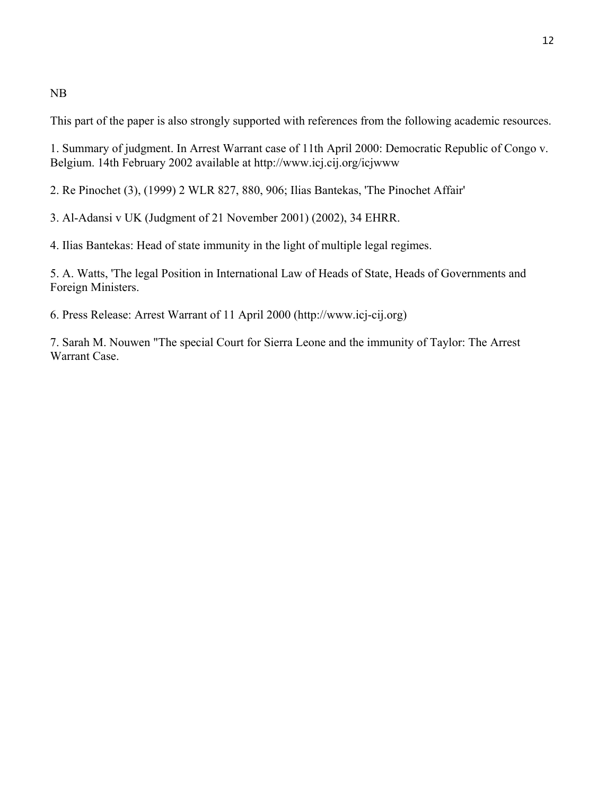NB

This part of the paper is also strongly supported with references from the following academic resources.

1. Summary of judgment. In Arrest Warrant case of 11th April 2000: Democratic Republic of Congo v. Belgium. 14th February 2002 available at http://www.icj.cij.org/icjwww

2. Re Pinochet (3), (1999) 2 WLR 827, 880, 906; Ilias Bantekas, 'The Pinochet Affair'

3. Al-Adansi v UK (Judgment of 21 November 2001) (2002), 34 EHRR.

4. Ilias Bantekas: Head of state immunity in the light of multiple legal regimes.

5. A. Watts, 'The legal Position in International Law of Heads of State, Heads of Governments and Foreign Ministers.

6. Press Release: Arrest Warrant of 11 April 2000 (http://www.icj-cij.org)

7. Sarah M. Nouwen "The special Court for Sierra Leone and the immunity of Taylor: The Arrest Warrant Case.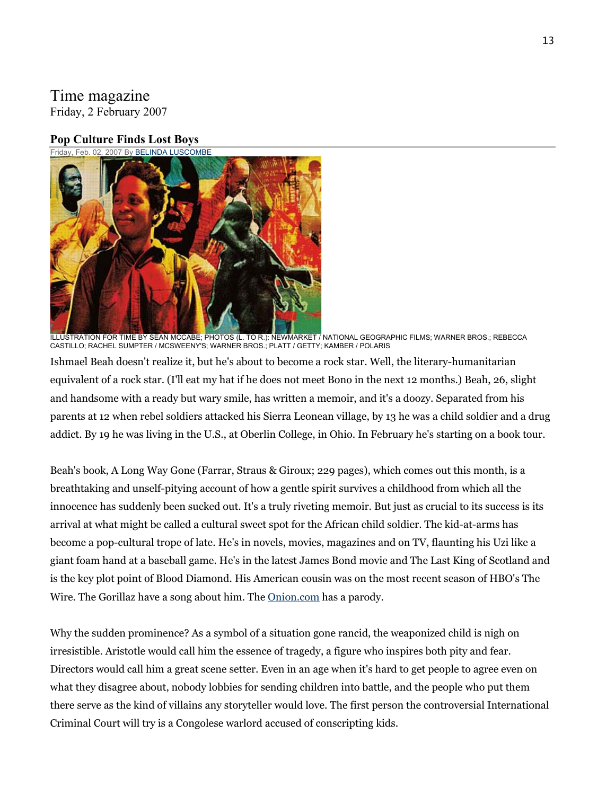# Time magazine Friday, 2 February 2007

### **Pop Culture Finds Lost Boys**



ILLUSTRATION FOR TIME BY SEAN MCCABE; PHOTOS (L. TO R.): NEWMARKET / NATIONAL GEOGRAPHIC FILMS; WARNER BROS.; REBECCA CASTILLO; RACHEL SUMPTER / MCSWEENY'S; WARNER BROS.; PLATT / GETTY; KAMBER / POLARIS

Ishmael Beah doesn't realize it, but he's about to become a rock star. Well, the literary-humanitarian equivalent of a rock star. (I'll eat my hat if he does not meet Bono in the next 12 months.) Beah, 26, slight and handsome with a ready but wary smile, has written a memoir, and it's a doozy. Separated from his parents at 12 when rebel soldiers attacked his Sierra Leonean village, by 13 he was a child soldier and a drug addict. By 19 he was living in the U.S., at Oberlin College, in Ohio. In February he's starting on a book tour.

Beah's book, A Long Way Gone (Farrar, Straus & Giroux; 229 pages), which comes out this month, is a breathtaking and unself-pitying account of how a gentle spirit survives a childhood from which all the innocence has suddenly been sucked out. It's a truly riveting memoir. But just as crucial to its success is its arrival at what might be called a cultural sweet spot for the African child soldier. The kid-at-arms has become a pop-cultural trope of late. He's in novels, movies, magazines and on TV, flaunting his Uzi like a giant foam hand at a baseball game. He's in the latest James Bond movie and The Last King of Scotland and is the key plot point of Blood Diamond. His American cousin was on the most recent season of HBO's The Wire. The Gorillaz have a song about him. The <u>[Onion.com](http://onion.com/)</u> has a parody.

Why the sudden prominence? As a symbol of a situation gone rancid, the weaponized child is nigh on irresistible. Aristotle would call him the essence of tragedy, a figure who inspires both pity and fear. Directors would call him a great scene setter. Even in an age when it's hard to get people to agree even on what they disagree about, nobody lobbies for sending children into battle, and the people who put them there serve as the kind of villains any storyteller would love. The first person the controversial International Criminal Court will try is a Congolese warlord accused of conscripting kids.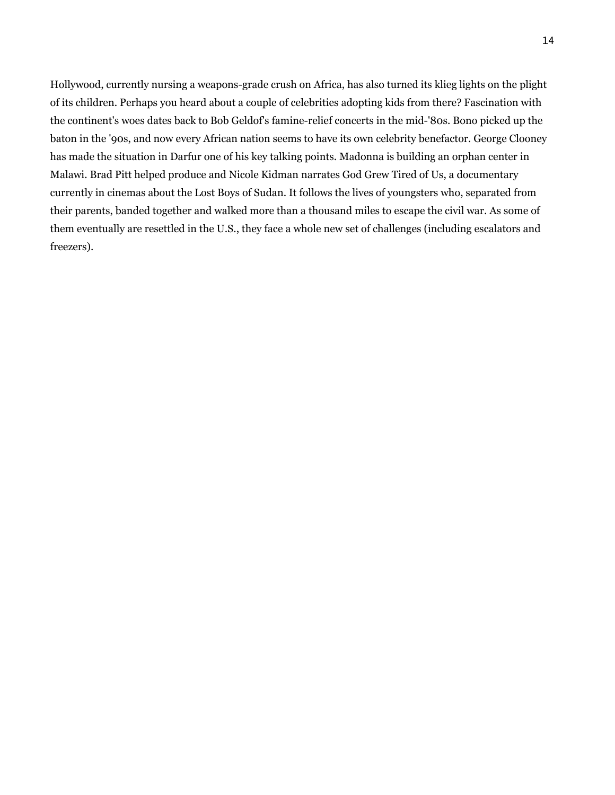Hollywood, currently nursing a weapons-grade crush on Africa, has also turned its klieg lights on the plight of its children. Perhaps you heard about a couple of celebrities adopting kids from there? Fascination with the continent's woes dates back to Bob Geldof's famine-relief concerts in the mid-'80s. Bono picked up the baton in the '90s, and now every African nation seems to have its own celebrity benefactor. George Clooney has made the situation in Darfur one of his key talking points. Madonna is building an orphan center in Malawi. Brad Pitt helped produce and Nicole Kidman narrates God Grew Tired of Us, a documentary currently in cinemas about the Lost Boys of Sudan. It follows the lives of youngsters who, separated from their parents, banded together and walked more than a thousand miles to escape the civil war. As some of them eventually are resettled in the U.S., they face a whole new set of challenges (including escalators and freezers).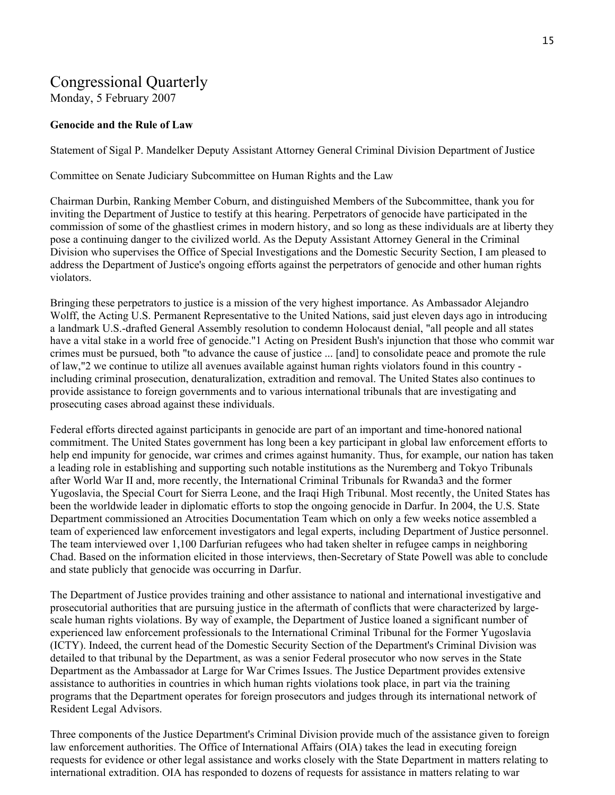# Congressional Quarterly

Monday, 5 February 2007

#### **Genocide and the Rule of Law**

Statement of Sigal P. Mandelker Deputy Assistant Attorney General Criminal Division Department of Justice

Committee on Senate Judiciary Subcommittee on Human Rights and the Law

Chairman Durbin, Ranking Member Coburn, and distinguished Members of the Subcommittee, thank you for inviting the Department of Justice to testify at this hearing. Perpetrators of genocide have participated in the commission of some of the ghastliest crimes in modern history, and so long as these individuals are at liberty they pose a continuing danger to the civilized world. As the Deputy Assistant Attorney General in the Criminal Division who supervises the Office of Special Investigations and the Domestic Security Section, I am pleased to address the Department of Justice's ongoing efforts against the perpetrators of genocide and other human rights violators.

Bringing these perpetrators to justice is a mission of the very highest importance. As Ambassador Alejandro Wolff, the Acting U.S. Permanent Representative to the United Nations, said just eleven days ago in introducing a landmark U.S.-drafted General Assembly resolution to condemn Holocaust denial, "all people and all states have a vital stake in a world free of genocide."1 Acting on President Bush's injunction that those who commit war crimes must be pursued, both "to advance the cause of justice ... [and] to consolidate peace and promote the rule of law,"2 we continue to utilize all avenues available against human rights violators found in this country including criminal prosecution, denaturalization, extradition and removal. The United States also continues to provide assistance to foreign governments and to various international tribunals that are investigating and prosecuting cases abroad against these individuals.

Federal efforts directed against participants in genocide are part of an important and time-honored national commitment. The United States government has long been a key participant in global law enforcement efforts to help end impunity for genocide, war crimes and crimes against humanity. Thus, for example, our nation has taken a leading role in establishing and supporting such notable institutions as the Nuremberg and Tokyo Tribunals after World War II and, more recently, the International Criminal Tribunals for Rwanda3 and the former Yugoslavia, the Special Court for Sierra Leone, and the Iraqi High Tribunal. Most recently, the United States has been the worldwide leader in diplomatic efforts to stop the ongoing genocide in Darfur. In 2004, the U.S. State Department commissioned an Atrocities Documentation Team which on only a few weeks notice assembled a team of experienced law enforcement investigators and legal experts, including Department of Justice personnel. The team interviewed over 1,100 Darfurian refugees who had taken shelter in refugee camps in neighboring Chad. Based on the information elicited in those interviews, then-Secretary of State Powell was able to conclude and state publicly that genocide was occurring in Darfur.

The Department of Justice provides training and other assistance to national and international investigative and prosecutorial authorities that are pursuing justice in the aftermath of conflicts that were characterized by largescale human rights violations. By way of example, the Department of Justice loaned a significant number of experienced law enforcement professionals to the International Criminal Tribunal for the Former Yugoslavia (ICTY). Indeed, the current head of the Domestic Security Section of the Department's Criminal Division was detailed to that tribunal by the Department, as was a senior Federal prosecutor who now serves in the State Department as the Ambassador at Large for War Crimes Issues. The Justice Department provides extensive assistance to authorities in countries in which human rights violations took place, in part via the training programs that the Department operates for foreign prosecutors and judges through its international network of Resident Legal Advisors.

Three components of the Justice Department's Criminal Division provide much of the assistance given to foreign law enforcement authorities. The Office of International Affairs (OIA) takes the lead in executing foreign requests for evidence or other legal assistance and works closely with the State Department in matters relating to international extradition. OIA has responded to dozens of requests for assistance in matters relating to war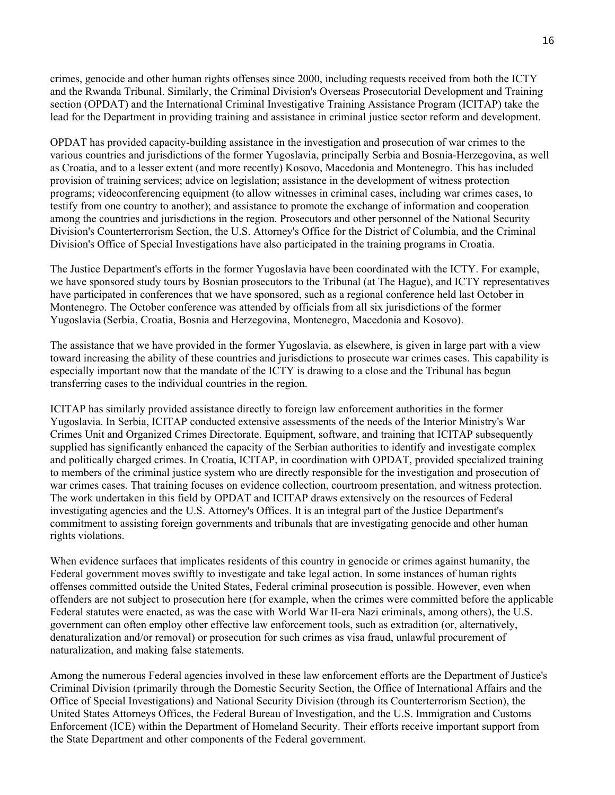crimes, genocide and other human rights offenses since 2000, including requests received from both the ICTY and the Rwanda Tribunal. Similarly, the Criminal Division's Overseas Prosecutorial Development and Training section (OPDAT) and the International Criminal Investigative Training Assistance Program (ICITAP) take the lead for the Department in providing training and assistance in criminal justice sector reform and development.

OPDAT has provided capacity-building assistance in the investigation and prosecution of war crimes to the various countries and jurisdictions of the former Yugoslavia, principally Serbia and Bosnia-Herzegovina, as well as Croatia, and to a lesser extent (and more recently) Kosovo, Macedonia and Montenegro. This has included provision of training services; advice on legislation; assistance in the development of witness protection programs; videoconferencing equipment (to allow witnesses in criminal cases, including war crimes cases, to testify from one country to another); and assistance to promote the exchange of information and cooperation among the countries and jurisdictions in the region. Prosecutors and other personnel of the National Security Division's Counterterrorism Section, the U.S. Attorney's Office for the District of Columbia, and the Criminal Division's Office of Special Investigations have also participated in the training programs in Croatia.

The Justice Department's efforts in the former Yugoslavia have been coordinated with the ICTY. For example, we have sponsored study tours by Bosnian prosecutors to the Tribunal (at The Hague), and ICTY representatives have participated in conferences that we have sponsored, such as a regional conference held last October in Montenegro. The October conference was attended by officials from all six jurisdictions of the former Yugoslavia (Serbia, Croatia, Bosnia and Herzegovina, Montenegro, Macedonia and Kosovo).

The assistance that we have provided in the former Yugoslavia, as elsewhere, is given in large part with a view toward increasing the ability of these countries and jurisdictions to prosecute war crimes cases. This capability is especially important now that the mandate of the ICTY is drawing to a close and the Tribunal has begun transferring cases to the individual countries in the region.

ICITAP has similarly provided assistance directly to foreign law enforcement authorities in the former Yugoslavia. In Serbia, ICITAP conducted extensive assessments of the needs of the Interior Ministry's War Crimes Unit and Organized Crimes Directorate. Equipment, software, and training that ICITAP subsequently supplied has significantly enhanced the capacity of the Serbian authorities to identify and investigate complex and politically charged crimes. In Croatia, ICITAP, in coordination with OPDAT, provided specialized training to members of the criminal justice system who are directly responsible for the investigation and prosecution of war crimes cases. That training focuses on evidence collection, courtroom presentation, and witness protection. The work undertaken in this field by OPDAT and ICITAP draws extensively on the resources of Federal investigating agencies and the U.S. Attorney's Offices. It is an integral part of the Justice Department's commitment to assisting foreign governments and tribunals that are investigating genocide and other human rights violations.

When evidence surfaces that implicates residents of this country in genocide or crimes against humanity, the Federal government moves swiftly to investigate and take legal action. In some instances of human rights offenses committed outside the United States, Federal criminal prosecution is possible. However, even when offenders are not subject to prosecution here (for example, when the crimes were committed before the applicable Federal statutes were enacted, as was the case with World War II-era Nazi criminals, among others), the U.S. government can often employ other effective law enforcement tools, such as extradition (or, alternatively, denaturalization and/or removal) or prosecution for such crimes as visa fraud, unlawful procurement of naturalization, and making false statements.

Among the numerous Federal agencies involved in these law enforcement efforts are the Department of Justice's Criminal Division (primarily through the Domestic Security Section, the Office of International Affairs and the Office of Special Investigations) and National Security Division (through its Counterterrorism Section), the United States Attorneys Offices, the Federal Bureau of Investigation, and the U.S. Immigration and Customs Enforcement (ICE) within the Department of Homeland Security. Their efforts receive important support from the State Department and other components of the Federal government.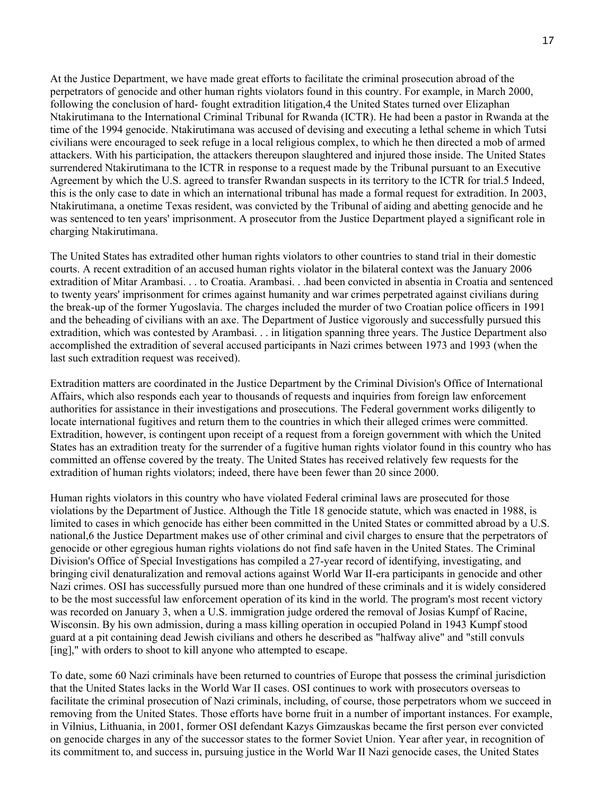At the Justice Department, we have made great efforts to facilitate the criminal prosecution abroad of the perpetrators of genocide and other human rights violators found in this country. For example, in March 2000, following the conclusion of hard- fought extradition litigation,4 the United States turned over Elizaphan Ntakirutimana to the International Criminal Tribunal for Rwanda (ICTR). He had been a pastor in Rwanda at the time of the 1994 genocide. Ntakirutimana was accused of devising and executing a lethal scheme in which Tutsi civilians were encouraged to seek refuge in a local religious complex, to which he then directed a mob of armed attackers. With his participation, the attackers thereupon slaughtered and injured those inside. The United States surrendered Ntakirutimana to the ICTR in response to a request made by the Tribunal pursuant to an Executive Agreement by which the U.S. agreed to transfer Rwandan suspects in its territory to the ICTR for trial.5 Indeed, this is the only case to date in which an international tribunal has made a formal request for extradition. In 2003, Ntakirutimana, a onetime Texas resident, was convicted by the Tribunal of aiding and abetting genocide and he was sentenced to ten years' imprisonment. A prosecutor from the Justice Department played a significant role in charging Ntakirutimana.

The United States has extradited other human rights violators to other countries to stand trial in their domestic courts. A recent extradition of an accused human rights violator in the bilateral context was the January 2006 extradition of Mitar Arambasi. . . to Croatia. Arambasi. . .had been convicted in absentia in Croatia and sentenced to twenty years' imprisonment for crimes against humanity and war crimes perpetrated against civilians during the break-up of the former Yugoslavia. The charges included the murder of two Croatian police officers in 1991 and the beheading of civilians with an axe. The Department of Justice vigorously and successfully pursued this extradition, which was contested by Arambasi. . . in litigation spanning three years. The Justice Department also accomplished the extradition of several accused participants in Nazi crimes between 1973 and 1993 (when the last such extradition request was received).

Extradition matters are coordinated in the Justice Department by the Criminal Division's Office of International Affairs, which also responds each year to thousands of requests and inquiries from foreign law enforcement authorities for assistance in their investigations and prosecutions. The Federal government works diligently to locate international fugitives and return them to the countries in which their alleged crimes were committed. Extradition, however, is contingent upon receipt of a request from a foreign government with which the United States has an extradition treaty for the surrender of a fugitive human rights violator found in this country who has committed an offense covered by the treaty. The United States has received relatively few requests for the extradition of human rights violators; indeed, there have been fewer than 20 since 2000.

Human rights violators in this country who have violated Federal criminal laws are prosecuted for those violations by the Department of Justice. Although the Title 18 genocide statute, which was enacted in 1988, is limited to cases in which genocide has either been committed in the United States or committed abroad by a U.S. national,6 the Justice Department makes use of other criminal and civil charges to ensure that the perpetrators of genocide or other egregious human rights violations do not find safe haven in the United States. The Criminal Division's Office of Special Investigations has compiled a 27-year record of identifying, investigating, and bringing civil denaturalization and removal actions against World War II-era participants in genocide and other Nazi crimes. OSI has successfully pursued more than one hundred of these criminals and it is widely considered to be the most successful law enforcement operation of its kind in the world. The program's most recent victory was recorded on January 3, when a U.S. immigration judge ordered the removal of Josias Kumpf of Racine, Wisconsin. By his own admission, during a mass killing operation in occupied Poland in 1943 Kumpf stood guard at a pit containing dead Jewish civilians and others he described as "halfway alive" and "still convuls [ing]," with orders to shoot to kill anyone who attempted to escape.

To date, some 60 Nazi criminals have been returned to countries of Europe that possess the criminal jurisdiction that the United States lacks in the World War II cases. OSI continues to work with prosecutors overseas to facilitate the criminal prosecution of Nazi criminals, including, of course, those perpetrators whom we succeed in removing from the United States. Those efforts have borne fruit in a number of important instances. For example, in Vilnius, Lithuania, in 2001, former OSI defendant Kazys Gimzauskas became the first person ever convicted on genocide charges in any of the successor states to the former Soviet Union. Year after year, in recognition of its commitment to, and success in, pursuing justice in the World War II Nazi genocide cases, the United States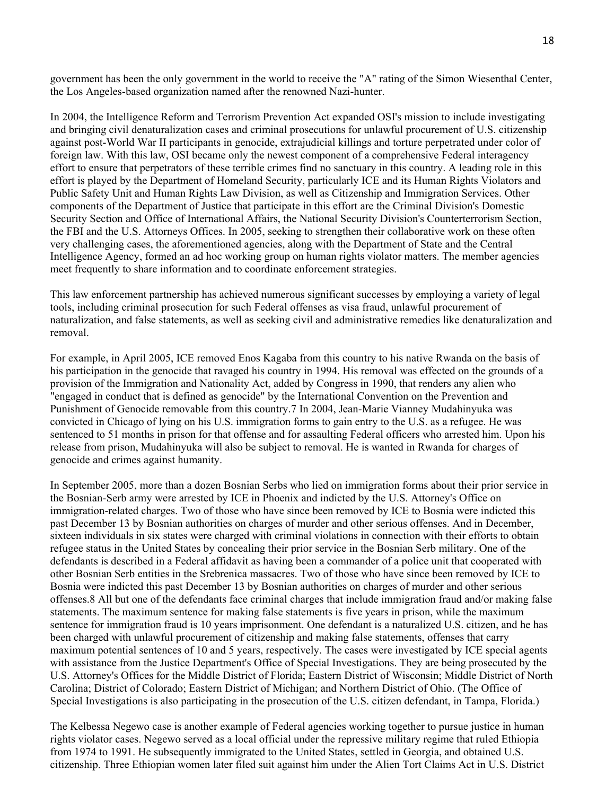government has been the only government in the world to receive the "A" rating of the Simon Wiesenthal Center, the Los Angeles-based organization named after the renowned Nazi-hunter.

In 2004, the Intelligence Reform and Terrorism Prevention Act expanded OSI's mission to include investigating and bringing civil denaturalization cases and criminal prosecutions for unlawful procurement of U.S. citizenship against post-World War II participants in genocide, extrajudicial killings and torture perpetrated under color of foreign law. With this law, OSI became only the newest component of a comprehensive Federal interagency effort to ensure that perpetrators of these terrible crimes find no sanctuary in this country. A leading role in this effort is played by the Department of Homeland Security, particularly ICE and its Human Rights Violators and Public Safety Unit and Human Rights Law Division, as well as Citizenship and Immigration Services. Other components of the Department of Justice that participate in this effort are the Criminal Division's Domestic Security Section and Office of International Affairs, the National Security Division's Counterterrorism Section, the FBI and the U.S. Attorneys Offices. In 2005, seeking to strengthen their collaborative work on these often very challenging cases, the aforementioned agencies, along with the Department of State and the Central Intelligence Agency, formed an ad hoc working group on human rights violator matters. The member agencies meet frequently to share information and to coordinate enforcement strategies.

This law enforcement partnership has achieved numerous significant successes by employing a variety of legal tools, including criminal prosecution for such Federal offenses as visa fraud, unlawful procurement of naturalization, and false statements, as well as seeking civil and administrative remedies like denaturalization and removal.

For example, in April 2005, ICE removed Enos Kagaba from this country to his native Rwanda on the basis of his participation in the genocide that ravaged his country in 1994. His removal was effected on the grounds of a provision of the Immigration and Nationality Act, added by Congress in 1990, that renders any alien who "engaged in conduct that is defined as genocide" by the International Convention on the Prevention and Punishment of Genocide removable from this country.7 In 2004, Jean-Marie Vianney Mudahinyuka was convicted in Chicago of lying on his U.S. immigration forms to gain entry to the U.S. as a refugee. He was sentenced to 51 months in prison for that offense and for assaulting Federal officers who arrested him. Upon his release from prison, Mudahinyuka will also be subject to removal. He is wanted in Rwanda for charges of genocide and crimes against humanity.

In September 2005, more than a dozen Bosnian Serbs who lied on immigration forms about their prior service in the Bosnian-Serb army were arrested by ICE in Phoenix and indicted by the U.S. Attorney's Office on immigration-related charges. Two of those who have since been removed by ICE to Bosnia were indicted this past December 13 by Bosnian authorities on charges of murder and other serious offenses. And in December, sixteen individuals in six states were charged with criminal violations in connection with their efforts to obtain refugee status in the United States by concealing their prior service in the Bosnian Serb military. One of the defendants is described in a Federal affidavit as having been a commander of a police unit that cooperated with other Bosnian Serb entities in the Srebrenica massacres. Two of those who have since been removed by ICE to Bosnia were indicted this past December 13 by Bosnian authorities on charges of murder and other serious offenses.8 All but one of the defendants face criminal charges that include immigration fraud and/or making false statements. The maximum sentence for making false statements is five years in prison, while the maximum sentence for immigration fraud is 10 years imprisonment. One defendant is a naturalized U.S. citizen, and he has been charged with unlawful procurement of citizenship and making false statements, offenses that carry maximum potential sentences of 10 and 5 years, respectively. The cases were investigated by ICE special agents with assistance from the Justice Department's Office of Special Investigations. They are being prosecuted by the U.S. Attorney's Offices for the Middle District of Florida; Eastern District of Wisconsin; Middle District of North Carolina; District of Colorado; Eastern District of Michigan; and Northern District of Ohio. (The Office of Special Investigations is also participating in the prosecution of the U.S. citizen defendant, in Tampa, Florida.)

The Kelbessa Negewo case is another example of Federal agencies working together to pursue justice in human rights violator cases. Negewo served as a local official under the repressive military regime that ruled Ethiopia from 1974 to 1991. He subsequently immigrated to the United States, settled in Georgia, and obtained U.S. citizenship. Three Ethiopian women later filed suit against him under the Alien Tort Claims Act in U.S. District